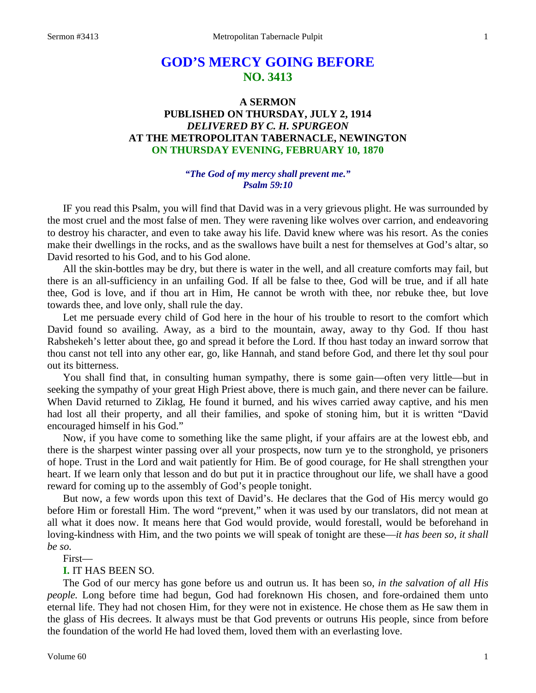# **GOD'S MERCY GOING BEFORE NO. 3413**

# **A SERMON PUBLISHED ON THURSDAY, JULY 2, 1914** *DELIVERED BY C. H. SPURGEON* **AT THE METROPOLITAN TABERNACLE, NEWINGTON ON THURSDAY EVENING, FEBRUARY 10, 1870**

## *"The God of my mercy shall prevent me." Psalm 59:10*

IF you read this Psalm, you will find that David was in a very grievous plight. He was surrounded by the most cruel and the most false of men. They were ravening like wolves over carrion, and endeavoring to destroy his character, and even to take away his life. David knew where was his resort. As the conies make their dwellings in the rocks, and as the swallows have built a nest for themselves at God's altar, so David resorted to his God, and to his God alone.

All the skin-bottles may be dry, but there is water in the well, and all creature comforts may fail, but there is an all-sufficiency in an unfailing God. If all be false to thee, God will be true, and if all hate thee, God is love, and if thou art in Him, He cannot be wroth with thee, nor rebuke thee, but love towards thee, and love only, shall rule the day.

Let me persuade every child of God here in the hour of his trouble to resort to the comfort which David found so availing. Away, as a bird to the mountain, away, away to thy God. If thou hast Rabshekeh's letter about thee, go and spread it before the Lord. If thou hast today an inward sorrow that thou canst not tell into any other ear, go, like Hannah, and stand before God, and there let thy soul pour out its bitterness.

You shall find that, in consulting human sympathy, there is some gain—often very little—but in seeking the sympathy of your great High Priest above, there is much gain, and there never can be failure. When David returned to Ziklag, He found it burned, and his wives carried away captive, and his men had lost all their property, and all their families, and spoke of stoning him, but it is written "David encouraged himself in his God."

Now, if you have come to something like the same plight, if your affairs are at the lowest ebb, and there is the sharpest winter passing over all your prospects, now turn ye to the stronghold, ye prisoners of hope. Trust in the Lord and wait patiently for Him. Be of good courage, for He shall strengthen your heart. If we learn only that lesson and do but put it in practice throughout our life, we shall have a good reward for coming up to the assembly of God's people tonight.

But now, a few words upon this text of David's. He declares that the God of His mercy would go before Him or forestall Him. The word "prevent," when it was used by our translators, did not mean at all what it does now. It means here that God would provide, would forestall, would be beforehand in loving-kindness with Him, and the two points we will speak of tonight are these—*it has been so, it shall be so.*

First—

#### **I.** IT HAS BEEN SO.

The God of our mercy has gone before us and outrun us. It has been so, *in the salvation of all His people.* Long before time had begun, God had foreknown His chosen, and fore-ordained them unto eternal life. They had not chosen Him, for they were not in existence. He chose them as He saw them in the glass of His decrees. It always must be that God prevents or outruns His people, since from before the foundation of the world He had loved them, loved them with an everlasting love.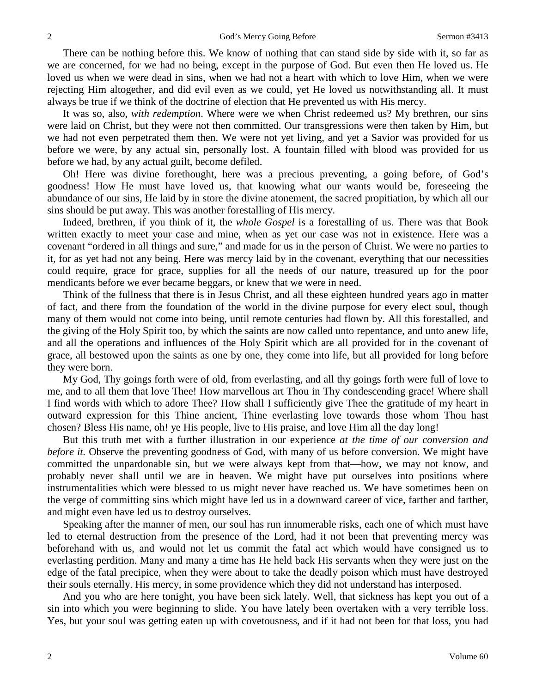There can be nothing before this. We know of nothing that can stand side by side with it, so far as we are concerned, for we had no being, except in the purpose of God. But even then He loved us. He loved us when we were dead in sins, when we had not a heart with which to love Him, when we were rejecting Him altogether, and did evil even as we could, yet He loved us notwithstanding all. It must always be true if we think of the doctrine of election that He prevented us with His mercy.

It was so, also, *with redemption*. Where were we when Christ redeemed us? My brethren, our sins were laid on Christ, but they were not then committed. Our transgressions were then taken by Him, but we had not even perpetrated them then. We were not yet living, and yet a Savior was provided for us before we were, by any actual sin, personally lost. A fountain filled with blood was provided for us before we had, by any actual guilt, become defiled.

Oh! Here was divine forethought, here was a precious preventing, a going before, of God's goodness! How He must have loved us, that knowing what our wants would be, foreseeing the abundance of our sins, He laid by in store the divine atonement, the sacred propitiation, by which all our sins should be put away. This was another forestalling of His mercy.

Indeed, brethren, if you think of it, the *whole Gospel* is a forestalling of us. There was that Book written exactly to meet your case and mine, when as yet our case was not in existence. Here was a covenant "ordered in all things and sure," and made for us in the person of Christ. We were no parties to it, for as yet had not any being. Here was mercy laid by in the covenant, everything that our necessities could require, grace for grace, supplies for all the needs of our nature, treasured up for the poor mendicants before we ever became beggars, or knew that we were in need.

Think of the fullness that there is in Jesus Christ, and all these eighteen hundred years ago in matter of fact, and there from the foundation of the world in the divine purpose for every elect soul, though many of them would not come into being, until remote centuries had flown by. All this forestalled, and the giving of the Holy Spirit too, by which the saints are now called unto repentance, and unto anew life, and all the operations and influences of the Holy Spirit which are all provided for in the covenant of grace, all bestowed upon the saints as one by one, they come into life, but all provided for long before they were born.

My God, Thy goings forth were of old, from everlasting, and all thy goings forth were full of love to me, and to all them that love Thee! How marvellous art Thou in Thy condescending grace! Where shall I find words with which to adore Thee? How shall I sufficiently give Thee the gratitude of my heart in outward expression for this Thine ancient, Thine everlasting love towards those whom Thou hast chosen? Bless His name, oh! ye His people, live to His praise, and love Him all the day long!

But this truth met with a further illustration in our experience *at the time of our conversion and before it.* Observe the preventing goodness of God, with many of us before conversion. We might have committed the unpardonable sin, but we were always kept from that—how, we may not know, and probably never shall until we are in heaven. We might have put ourselves into positions where instrumentalities which were blessed to us might never have reached us. We have sometimes been on the verge of committing sins which might have led us in a downward career of vice, farther and farther, and might even have led us to destroy ourselves.

Speaking after the manner of men, our soul has run innumerable risks, each one of which must have led to eternal destruction from the presence of the Lord, had it not been that preventing mercy was beforehand with us, and would not let us commit the fatal act which would have consigned us to everlasting perdition. Many and many a time has He held back His servants when they were just on the edge of the fatal precipice, when they were about to take the deadly poison which must have destroyed their souls eternally. His mercy, in some providence which they did not understand has interposed.

And you who are here tonight, you have been sick lately. Well, that sickness has kept you out of a sin into which you were beginning to slide. You have lately been overtaken with a very terrible loss. Yes, but your soul was getting eaten up with covetousness, and if it had not been for that loss, you had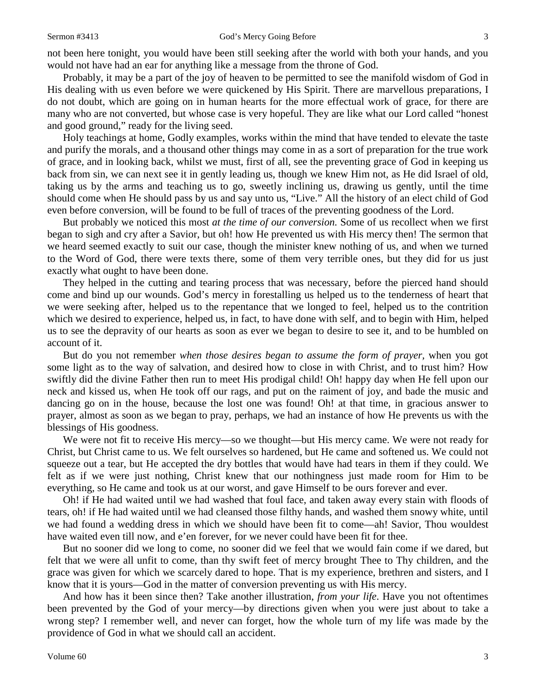not been here tonight, you would have been still seeking after the world with both your hands, and you would not have had an ear for anything like a message from the throne of God.

Probably, it may be a part of the joy of heaven to be permitted to see the manifold wisdom of God in His dealing with us even before we were quickened by His Spirit. There are marvellous preparations, I do not doubt, which are going on in human hearts for the more effectual work of grace, for there are many who are not converted, but whose case is very hopeful. They are like what our Lord called "honest and good ground," ready for the living seed.

Holy teachings at home, Godly examples, works within the mind that have tended to elevate the taste and purify the morals, and a thousand other things may come in as a sort of preparation for the true work of grace, and in looking back, whilst we must, first of all, see the preventing grace of God in keeping us back from sin, we can next see it in gently leading us, though we knew Him not, as He did Israel of old, taking us by the arms and teaching us to go, sweetly inclining us, drawing us gently, until the time should come when He should pass by us and say unto us, "Live." All the history of an elect child of God even before conversion, will be found to be full of traces of the preventing goodness of the Lord.

But probably we noticed this most *at the time of our conversion.* Some of us recollect when we first began to sigh and cry after a Savior, but oh! how He prevented us with His mercy then! The sermon that we heard seemed exactly to suit our case, though the minister knew nothing of us, and when we turned to the Word of God, there were texts there, some of them very terrible ones, but they did for us just exactly what ought to have been done.

They helped in the cutting and tearing process that was necessary, before the pierced hand should come and bind up our wounds. God's mercy in forestalling us helped us to the tenderness of heart that we were seeking after, helped us to the repentance that we longed to feel, helped us to the contrition which we desired to experience, helped us, in fact, to have done with self, and to begin with Him, helped us to see the depravity of our hearts as soon as ever we began to desire to see it, and to be humbled on account of it.

But do you not remember *when those desires began to assume the form of prayer,* when you got some light as to the way of salvation, and desired how to close in with Christ, and to trust him? How swiftly did the divine Father then run to meet His prodigal child! Oh! happy day when He fell upon our neck and kissed us, when He took off our rags, and put on the raiment of joy, and bade the music and dancing go on in the house, because the lost one was found! Oh! at that time, in gracious answer to prayer, almost as soon as we began to pray, perhaps, we had an instance of how He prevents us with the blessings of His goodness.

We were not fit to receive His mercy—so we thought—but His mercy came. We were not ready for Christ, but Christ came to us. We felt ourselves so hardened, but He came and softened us. We could not squeeze out a tear, but He accepted the dry bottles that would have had tears in them if they could. We felt as if we were just nothing, Christ knew that our nothingness just made room for Him to be everything, so He came and took us at our worst, and gave Himself to be ours forever and ever.

Oh! if He had waited until we had washed that foul face, and taken away every stain with floods of tears, oh! if He had waited until we had cleansed those filthy hands, and washed them snowy white, until we had found a wedding dress in which we should have been fit to come—ah! Savior, Thou wouldest have waited even till now, and e'en forever, for we never could have been fit for thee.

But no sooner did we long to come, no sooner did we feel that we would fain come if we dared, but felt that we were all unfit to come, than thy swift feet of mercy brought Thee to Thy children, and the grace was given for which we scarcely dared to hope. That is my experience, brethren and sisters, and I know that it is yours—God in the matter of conversion preventing us with His mercy.

And how has it been since then? Take another illustration, *from your life*. Have you not oftentimes been prevented by the God of your mercy—by directions given when you were just about to take a wrong step? I remember well, and never can forget, how the whole turn of my life was made by the providence of God in what we should call an accident.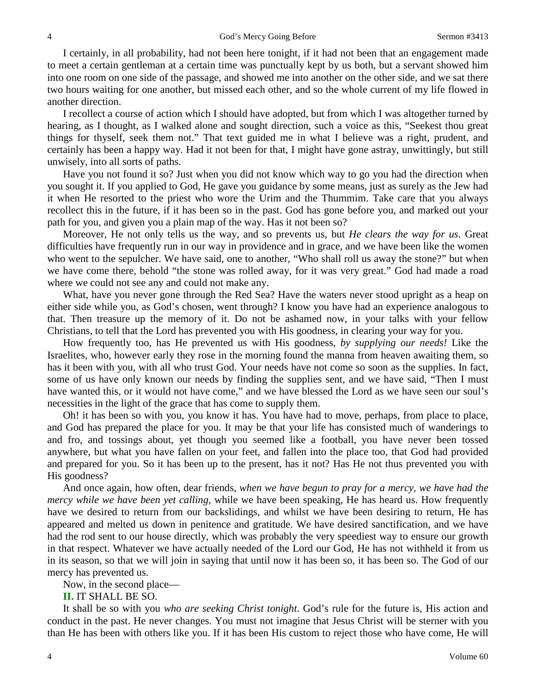I certainly, in all probability, had not been here tonight, if it had not been that an engagement made to meet a certain gentleman at a certain time was punctually kept by us both, but a servant showed him into one room on one side of the passage, and showed me into another on the other side, and we sat there two hours waiting for one another, but missed each other, and so the whole current of my life flowed in another direction.

I recollect a course of action which I should have adopted, but from which I was altogether turned by hearing, as I thought, as I walked alone and sought direction, such a voice as this, "Seekest thou great things for thyself, seek them not." That text guided me in what I believe was a right, prudent, and certainly has been a happy way. Had it not been for that, I might have gone astray, unwittingly, but still unwisely, into all sorts of paths.

Have you not found it so? Just when you did not know which way to go you had the direction when you sought it. If you applied to God, He gave you guidance by some means, just as surely as the Jew had it when He resorted to the priest who wore the Urim and the Thummim. Take care that you always recollect this in the future, if it has been so in the past. God has gone before you, and marked out your path for you, and given you a plain map of the way. Has it not been so?

Moreover, He not only tells us the way, and so prevents us, but *He clears the way for us.* Great difficulties have frequently run in our way in providence and in grace, and we have been like the women who went to the sepulcher. We have said, one to another, "Who shall roll us away the stone?" but when we have come there, behold "the stone was rolled away, for it was very great." God had made a road where we could not see any and could not make any.

What, have you never gone through the Red Sea? Have the waters never stood upright as a heap on either side while you, as God's chosen, went through? I know you have had an experience analogous to that. Then treasure up the memory of it. Do not be ashamed now, in your talks with your fellow Christians, to tell that the Lord has prevented you with His goodness, in clearing your way for you.

How frequently too, has He prevented us with His goodness, *by supplying our needs!* Like the Israelites, who, however early they rose in the morning found the manna from heaven awaiting them, so has it been with you, with all who trust God. Your needs have not come so soon as the supplies. In fact, some of us have only known our needs by finding the supplies sent, and we have said, "Then I must have wanted this, or it would not have come," and we have blessed the Lord as we have seen our soul's necessities in the light of the grace that has come to supply them.

Oh! it has been so with you, you know it has. You have had to move, perhaps, from place to place, and God has prepared the place for you. It may be that your life has consisted much of wanderings to and fro, and tossings about, yet though you seemed like a football, you have never been tossed anywhere, but what you have fallen on your feet, and fallen into the place too, that God had provided and prepared for you. So it has been up to the present, has it not? Has He not thus prevented you with His goodness?

And once again, how often, dear friends, *when we have begun to pray for a mercy, we have had the mercy while we have been yet calling,* while we have been speaking, He has heard us. How frequently have we desired to return from our backslidings, and whilst we have been desiring to return, He has appeared and melted us down in penitence and gratitude. We have desired sanctification, and we have had the rod sent to our house directly, which was probably the very speediest way to ensure our growth in that respect. Whatever we have actually needed of the Lord our God, He has not withheld it from us in its season, so that we will join in saying that until now it has been so, it has been so. The God of our mercy has prevented us.

Now, in the second place—

#### **II.** IT SHALL BE SO.

It shall be so with you *who are seeking Christ tonight*. God's rule for the future is, His action and conduct in the past. He never changes. You must not imagine that Jesus Christ will be sterner with you than He has been with others like you. If it has been His custom to reject those who have come, He will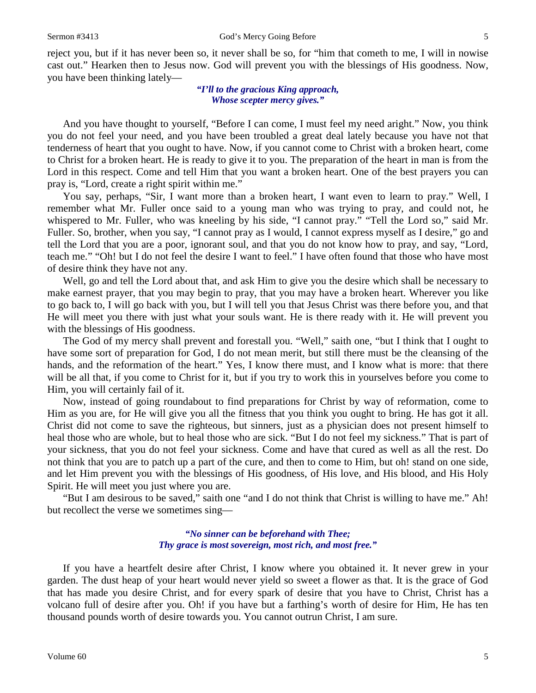reject you, but if it has never been so, it never shall be so, for "him that cometh to me, I will in nowise cast out." Hearken then to Jesus now. God will prevent you with the blessings of His goodness. Now, you have been thinking lately—

#### *"I'll to the gracious King approach, Whose scepter mercy gives."*

And you have thought to yourself, "Before I can come, I must feel my need aright." Now, you think you do not feel your need, and you have been troubled a great deal lately because you have not that tenderness of heart that you ought to have. Now, if you cannot come to Christ with a broken heart, come to Christ for a broken heart. He is ready to give it to you. The preparation of the heart in man is from the Lord in this respect. Come and tell Him that you want a broken heart. One of the best prayers you can pray is, "Lord, create a right spirit within me."

You say, perhaps, "Sir, I want more than a broken heart, I want even to learn to pray." Well, I remember what Mr. Fuller once said to a young man who was trying to pray, and could not, he whispered to Mr. Fuller, who was kneeling by his side, "I cannot pray." "Tell the Lord so," said Mr. Fuller. So, brother, when you say, "I cannot pray as I would, I cannot express myself as I desire," go and tell the Lord that you are a poor, ignorant soul, and that you do not know how to pray, and say, "Lord, teach me." "Oh! but I do not feel the desire I want to feel." I have often found that those who have most of desire think they have not any.

Well, go and tell the Lord about that, and ask Him to give you the desire which shall be necessary to make earnest prayer, that you may begin to pray, that you may have a broken heart. Wherever you like to go back to, I will go back with you, but I will tell you that Jesus Christ was there before you, and that He will meet you there with just what your souls want. He is there ready with it. He will prevent you with the blessings of His goodness.

The God of my mercy shall prevent and forestall you. "Well," saith one, "but I think that I ought to have some sort of preparation for God, I do not mean merit, but still there must be the cleansing of the hands, and the reformation of the heart." Yes, I know there must, and I know what is more: that there will be all that, if you come to Christ for it, but if you try to work this in yourselves before you come to Him, you will certainly fail of it.

Now, instead of going roundabout to find preparations for Christ by way of reformation, come to Him as you are, for He will give you all the fitness that you think you ought to bring. He has got it all. Christ did not come to save the righteous, but sinners, just as a physician does not present himself to heal those who are whole, but to heal those who are sick. "But I do not feel my sickness." That is part of your sickness, that you do not feel your sickness. Come and have that cured as well as all the rest. Do not think that you are to patch up a part of the cure, and then to come to Him, but oh! stand on one side, and let Him prevent you with the blessings of His goodness, of His love, and His blood, and His Holy Spirit. He will meet you just where you are.

"But I am desirous to be saved," saith one "and I do not think that Christ is willing to have me." Ah! but recollect the verse we sometimes sing—

#### *"No sinner can be beforehand with Thee; Thy grace is most sovereign, most rich, and most free."*

If you have a heartfelt desire after Christ, I know where you obtained it. It never grew in your garden. The dust heap of your heart would never yield so sweet a flower as that. It is the grace of God that has made you desire Christ, and for every spark of desire that you have to Christ, Christ has a volcano full of desire after you. Oh! if you have but a farthing's worth of desire for Him, He has ten thousand pounds worth of desire towards you. You cannot outrun Christ, I am sure.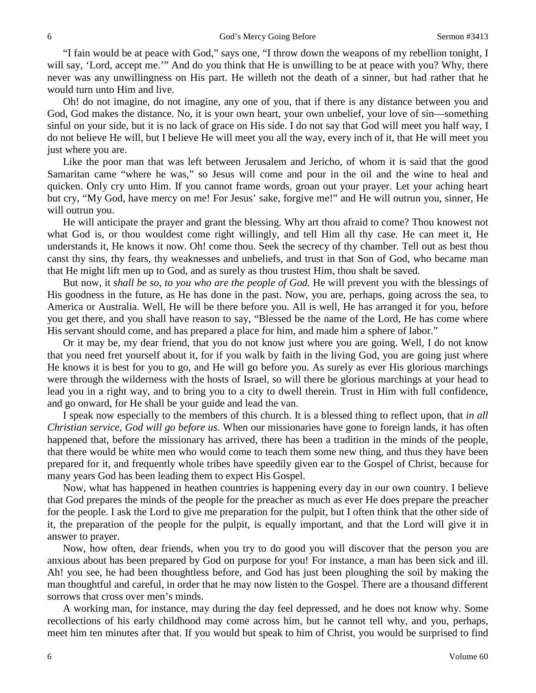"I fain would be at peace with God," says one, "I throw down the weapons of my rebellion tonight, I will say, 'Lord, accept me.'" And do you think that He is unwilling to be at peace with you? Why, there never was any unwillingness on His part. He willeth not the death of a sinner, but had rather that he would turn unto Him and live.

Oh! do not imagine, do not imagine, any one of you, that if there is any distance between you and God, God makes the distance. No, it is your own heart, your own unbelief, your love of sin—something sinful on your side, but it is no lack of grace on His side. I do not say that God will meet you half way, I do not believe He will, but I believe He will meet you all the way, every inch of it, that He will meet you just where you are.

Like the poor man that was left between Jerusalem and Jericho, of whom it is said that the good Samaritan came "where he was," so Jesus will come and pour in the oil and the wine to heal and quicken. Only cry unto Him. If you cannot frame words, groan out your prayer. Let your aching heart but cry, "My God, have mercy on me! For Jesus' sake, forgive me!" and He will outrun you, sinner, He will outrun you.

He will anticipate the prayer and grant the blessing. Why art thou afraid to come? Thou knowest not what God is, or thou wouldest come right willingly, and tell Him all thy case. He can meet it, He understands it, He knows it now. Oh! come thou. Seek the secrecy of thy chamber. Tell out as best thou canst thy sins, thy fears, thy weaknesses and unbeliefs, and trust in that Son of God, who became man that He might lift men up to God, and as surely as thou trustest Him, thou shalt be saved.

But now, it *shall be so, to you who are the people of God.* He will prevent you with the blessings of His goodness in the future, as He has done in the past. Now, you are, perhaps, going across the sea, to America or Australia. Well, He will be there before you. All is well, He has arranged it for you, before you get there, and you shall have reason to say, "Blessed be the name of the Lord, He has come where His servant should come, and has prepared a place for him, and made him a sphere of labor."

Or it may be, my dear friend, that you do not know just where you are going. Well, I do not know that you need fret yourself about it, for if you walk by faith in the living God, you are going just where He knows it is best for you to go, and He will go before you. As surely as ever His glorious marchings were through the wilderness with the hosts of Israel, so will there be glorious marchings at your head to lead you in a right way, and to bring you to a city to dwell therein. Trust in Him with full confidence, and go onward, for He shall be your guide and lead the van.

I speak now especially to the members of this church. It is a blessed thing to reflect upon, that *in all Christian service, God will go before us.* When our missionaries have gone to foreign lands, it has often happened that, before the missionary has arrived, there has been a tradition in the minds of the people, that there would be white men who would come to teach them some new thing, and thus they have been prepared for it, and frequently whole tribes have speedily given ear to the Gospel of Christ, because for many years God has been leading them to expect His Gospel.

Now, what has happened in heathen countries is happening every day in our own country. I believe that God prepares the minds of the people for the preacher as much as ever He does prepare the preacher for the people. I ask the Lord to give me preparation for the pulpit, but I often think that the other side of it, the preparation of the people for the pulpit, is equally important, and that the Lord will give it in answer to prayer.

Now, how often, dear friends, when you try to do good you will discover that the person you are anxious about has been prepared by God on purpose for you! For instance, a man has been sick and ill. Ah! you see, he had been thoughtless before, and God has just been ploughing the soil by making the man thoughtful and careful, in order that he may now listen to the Gospel. There are a thousand different sorrows that cross over men's minds.

A working man, for instance, may during the day feel depressed, and he does not know why. Some recollections of his early childhood may come across him, but he cannot tell why, and you, perhaps, meet him ten minutes after that. If you would but speak to him of Christ, you would be surprised to find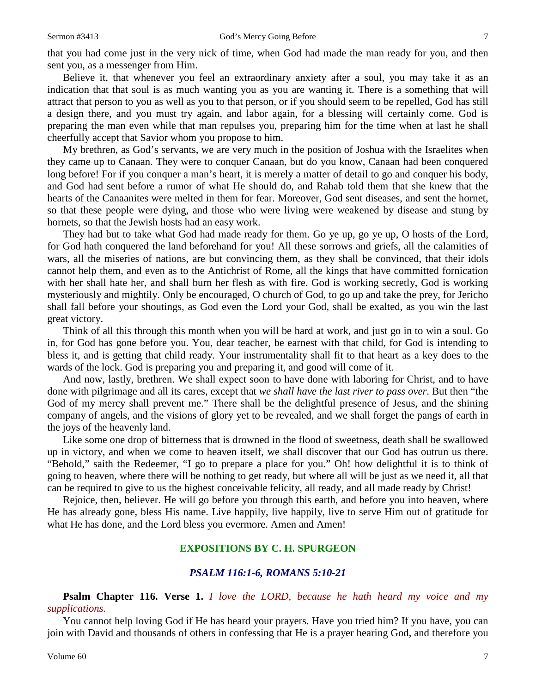that you had come just in the very nick of time, when God had made the man ready for you, and then sent you, as a messenger from Him.

Believe it, that whenever you feel an extraordinary anxiety after a soul, you may take it as an indication that that soul is as much wanting you as you are wanting it. There is a something that will attract that person to you as well as you to that person, or if you should seem to be repelled, God has still a design there, and you must try again, and labor again, for a blessing will certainly come. God is preparing the man even while that man repulses you, preparing him for the time when at last he shall cheerfully accept that Savior whom you propose to him.

My brethren, as God's servants, we are very much in the position of Joshua with the Israelites when they came up to Canaan. They were to conquer Canaan, but do you know, Canaan had been conquered long before! For if you conquer a man's heart, it is merely a matter of detail to go and conquer his body, and God had sent before a rumor of what He should do, and Rahab told them that she knew that the hearts of the Canaanites were melted in them for fear. Moreover, God sent diseases, and sent the hornet, so that these people were dying, and those who were living were weakened by disease and stung by hornets, so that the Jewish hosts had an easy work.

They had but to take what God had made ready for them. Go ye up, go ye up, O hosts of the Lord, for God hath conquered the land beforehand for you! All these sorrows and griefs, all the calamities of wars, all the miseries of nations, are but convincing them, as they shall be convinced, that their idols cannot help them, and even as to the Antichrist of Rome, all the kings that have committed fornication with her shall hate her, and shall burn her flesh as with fire. God is working secretly, God is working mysteriously and mightily. Only be encouraged, O church of God, to go up and take the prey, for Jericho shall fall before your shoutings, as God even the Lord your God, shall be exalted, as you win the last great victory.

Think of all this through this month when you will be hard at work, and just go in to win a soul. Go in, for God has gone before you. You, dear teacher, be earnest with that child, for God is intending to bless it, and is getting that child ready. Your instrumentality shall fit to that heart as a key does to the wards of the lock. God is preparing you and preparing it, and good will come of it.

And now, lastly, brethren. We shall expect soon to have done with laboring for Christ, and to have done with pilgrimage and all its cares, except that *we shall have the last river to pass over*. But then "the God of my mercy shall prevent me." There shall be the delightful presence of Jesus, and the shining company of angels, and the visions of glory yet to be revealed, and we shall forget the pangs of earth in the joys of the heavenly land.

Like some one drop of bitterness that is drowned in the flood of sweetness, death shall be swallowed up in victory, and when we come to heaven itself, we shall discover that our God has outrun us there. "Behold," saith the Redeemer, "I go to prepare a place for you." Oh! how delightful it is to think of going to heaven, where there will be nothing to get ready, but where all will be just as we need it, all that can be required to give to us the highest conceivable felicity, all ready, and all made ready by Christ!

Rejoice, then, believer. He will go before you through this earth, and before you into heaven, where He has already gone, bless His name. Live happily, live happily, live to serve Him out of gratitude for what He has done, and the Lord bless you evermore. Amen and Amen!

# **EXPOSITIONS BY C. H. SPURGEON**

#### *PSALM 116:1-6, ROMANS 5:10-21*

**Psalm Chapter 116. Verse 1.** *I love the LORD, because he hath heard my voice and my supplications.*

You cannot help loving God if He has heard your prayers. Have you tried him? If you have, you can join with David and thousands of others in confessing that He is a prayer hearing God, and therefore you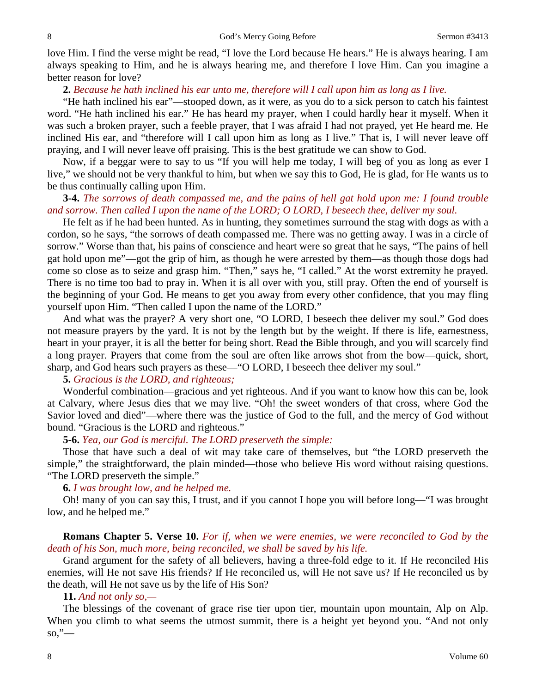love Him. I find the verse might be read, "I love the Lord because He hears." He is always hearing. I am always speaking to Him, and he is always hearing me, and therefore I love Him. Can you imagine a better reason for love?

#### **2.** *Because he hath inclined his ear unto me, therefore will I call upon him as long as I live.*

"He hath inclined his ear"—stooped down, as it were, as you do to a sick person to catch his faintest word. "He hath inclined his ear." He has heard my prayer, when I could hardly hear it myself. When it was such a broken prayer, such a feeble prayer, that I was afraid I had not prayed, yet He heard me. He inclined His ear, and "therefore will I call upon him as long as I live." That is, I will never leave off praying, and I will never leave off praising. This is the best gratitude we can show to God.

Now, if a beggar were to say to us "If you will help me today, I will beg of you as long as ever I live," we should not be very thankful to him, but when we say this to God, He is glad, for He wants us to be thus continually calling upon Him.

# **3-4.** *The sorrows of death compassed me, and the pains of hell gat hold upon me: I found trouble and sorrow. Then called I upon the name of the LORD; O LORD, I beseech thee, deliver my soul.*

He felt as if he had been hunted. As in hunting, they sometimes surround the stag with dogs as with a cordon, so he says, "the sorrows of death compassed me. There was no getting away. I was in a circle of sorrow." Worse than that, his pains of conscience and heart were so great that he says, "The pains of hell gat hold upon me"—got the grip of him, as though he were arrested by them—as though those dogs had come so close as to seize and grasp him. "Then," says he, "I called." At the worst extremity he prayed. There is no time too bad to pray in. When it is all over with you, still pray. Often the end of yourself is the beginning of your God. He means to get you away from every other confidence, that you may fling yourself upon Him. "Then called I upon the name of the LORD."

And what was the prayer? A very short one, "O LORD, I beseech thee deliver my soul." God does not measure prayers by the yard. It is not by the length but by the weight. If there is life, earnestness, heart in your prayer, it is all the better for being short. Read the Bible through, and you will scarcely find a long prayer. Prayers that come from the soul are often like arrows shot from the bow—quick, short, sharp, and God hears such prayers as these—"O LORD, I beseech thee deliver my soul."

#### **5.** *Gracious is the LORD, and righteous;*

Wonderful combination—gracious and yet righteous. And if you want to know how this can be, look at Calvary, where Jesus dies that we may live. "Oh! the sweet wonders of that cross, where God the Savior loved and died"—where there was the justice of God to the full, and the mercy of God without bound. "Gracious is the LORD and righteous."

#### **5-6.** *Yea, our God is merciful. The LORD preserveth the simple:*

Those that have such a deal of wit may take care of themselves, but "the LORD preserveth the simple," the straightforward, the plain minded—those who believe His word without raising questions. "The LORD preserveth the simple."

#### **6.** *I was brought low, and he helped me.*

Oh! many of you can say this, I trust, and if you cannot I hope you will before long—"I was brought low, and he helped me."

# **Romans Chapter 5. Verse 10.** *For if, when we were enemies, we were reconciled to God by the death of his Son, much more, being reconciled, we shall be saved by his life.*

Grand argument for the safety of all believers, having a three-fold edge to it. If He reconciled His enemies, will He not save His friends? If He reconciled us, will He not save us? If He reconciled us by the death, will He not save us by the life of His Son?

#### **11.** *And not only so,—*

The blessings of the covenant of grace rise tier upon tier, mountain upon mountain, Alp on Alp. When you climb to what seems the utmost summit, there is a height yet beyond you. "And not only  $\mathbf{so}, \mathcal{C}$